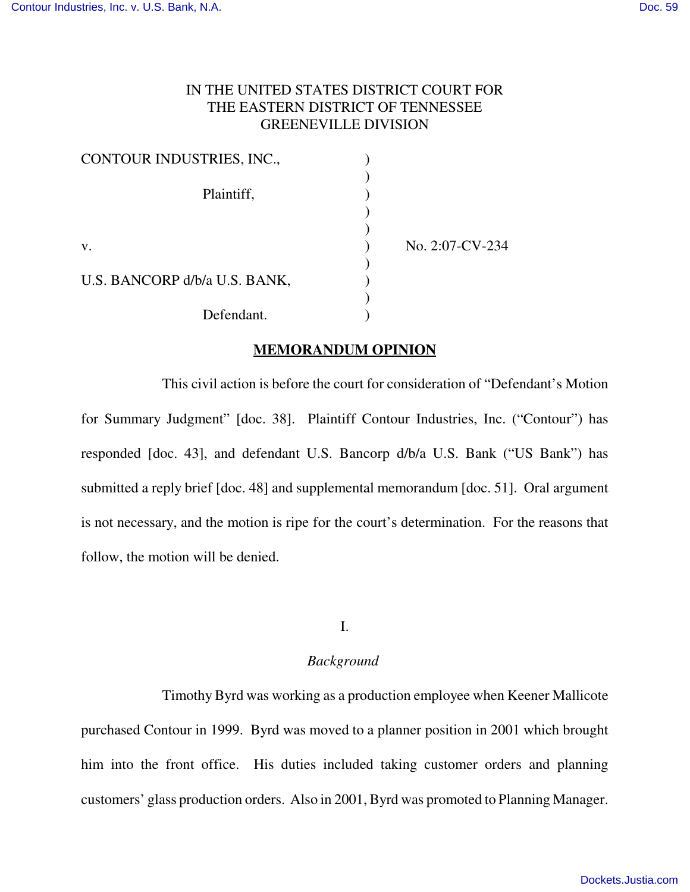# IN THE UNITED STATES DISTRICT COURT FOR THE EASTERN DISTRICT OF TENNESSEE GREENEVILLE DIVISION

| CONTOUR INDUSTRIES, INC.,     |                 |
|-------------------------------|-----------------|
|                               |                 |
| Plaintiff,                    |                 |
|                               |                 |
|                               |                 |
| V.                            | No. 2:07-CV-234 |
|                               |                 |
| U.S. BANCORP d/b/a U.S. BANK, |                 |
|                               |                 |
| Defendant.                    |                 |

### **MEMORANDUM OPINION**

This civil action is before the court for consideration of "Defendant's Motion for Summary Judgment" [doc. 38]. Plaintiff Contour Industries, Inc. ("Contour") has responded [doc. 43], and defendant U.S. Bancorp d/b/a U.S. Bank ("US Bank") has submitted a reply brief [doc. 48] and supplemental memorandum [doc. 51]. Oral argument is not necessary, and the motion is ripe for the court's determination. For the reasons that follow, the motion will be denied.

#### I.

### *Background*

Timothy Byrd was working as a production employee when Keener Mallicote purchased Contour in 1999. Byrd was moved to a planner position in 2001 which brought him into the front office. His duties included taking customer orders and planning customers' glass production orders. Also in 2001, Byrd was promoted to Planning Manager.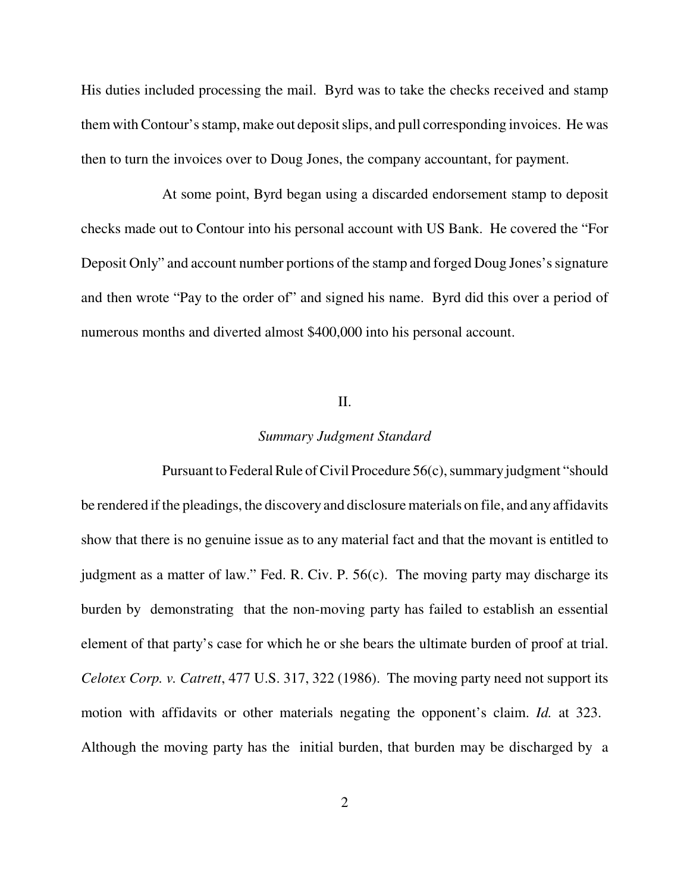His duties included processing the mail. Byrd was to take the checks received and stamp them with Contour's stamp, make out deposit slips, and pull corresponding invoices. He was then to turn the invoices over to Doug Jones, the company accountant, for payment.

At some point, Byrd began using a discarded endorsement stamp to deposit checks made out to Contour into his personal account with US Bank. He covered the "For Deposit Only" and account number portions of the stamp and forged Doug Jones's signature and then wrote "Pay to the order of" and signed his name. Byrd did this over a period of numerous months and diverted almost \$400,000 into his personal account.

### II.

#### *Summary Judgment Standard*

Pursuant to Federal Rule of Civil Procedure 56(c), summary judgment "should be rendered if the pleadings, the discovery and disclosure materials on file, and any affidavits show that there is no genuine issue as to any material fact and that the movant is entitled to judgment as a matter of law." Fed. R. Civ. P. 56(c). The moving party may discharge its burden by demonstrating that the non-moving party has failed to establish an essential element of that party's case for which he or she bears the ultimate burden of proof at trial. *Celotex Corp. v. Catrett*, 477 U.S. 317, 322 (1986). The moving party need not support its motion with affidavits or other materials negating the opponent's claim. *Id.* at 323. Although the moving party has the initial burden, that burden may be discharged by a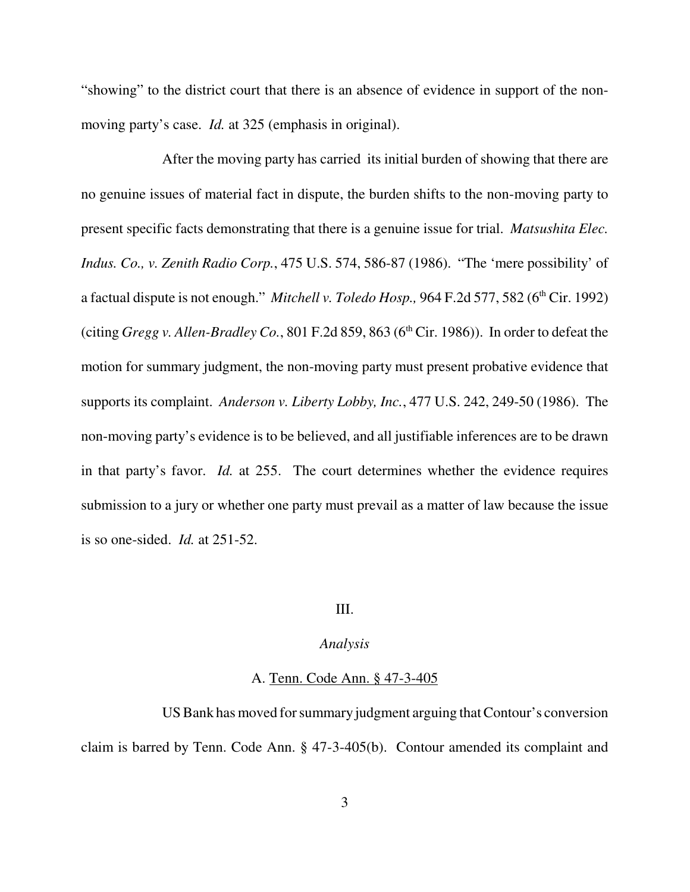"showing" to the district court that there is an absence of evidence in support of the nonmoving party's case. *Id.* at 325 (emphasis in original).

After the moving party has carried its initial burden of showing that there are no genuine issues of material fact in dispute, the burden shifts to the non-moving party to present specific facts demonstrating that there is a genuine issue for trial. *Matsushita Elec. Indus. Co., v. Zenith Radio Corp.*, 475 U.S. 574, 586-87 (1986). "The 'mere possibility' of a factual dispute is not enough." *Mitchell v. Toledo Hosp.*, 964 F.2d 577, 582 (6<sup>th</sup> Cir. 1992) (citing *Gregg v. Allen-Bradley Co.*, 801 F.2d 859, 863 ( $6<sup>th</sup> Cir.$  1986)). In order to defeat the motion for summary judgment, the non-moving party must present probative evidence that supports its complaint. *Anderson v. Liberty Lobby, Inc.*, 477 U.S. 242, 249-50 (1986). The non-moving party's evidence is to be believed, and all justifiable inferences are to be drawn in that party's favor. *Id.* at 255. The court determines whether the evidence requires submission to a jury or whether one party must prevail as a matter of law because the issue is so one-sided. *Id.* at 251-52.

# III.

## *Analysis*

### A. Tenn. Code Ann. § 47-3-405

US Bank has moved for summary judgment arguing that Contour's conversion claim is barred by Tenn. Code Ann. § 47-3-405(b). Contour amended its complaint and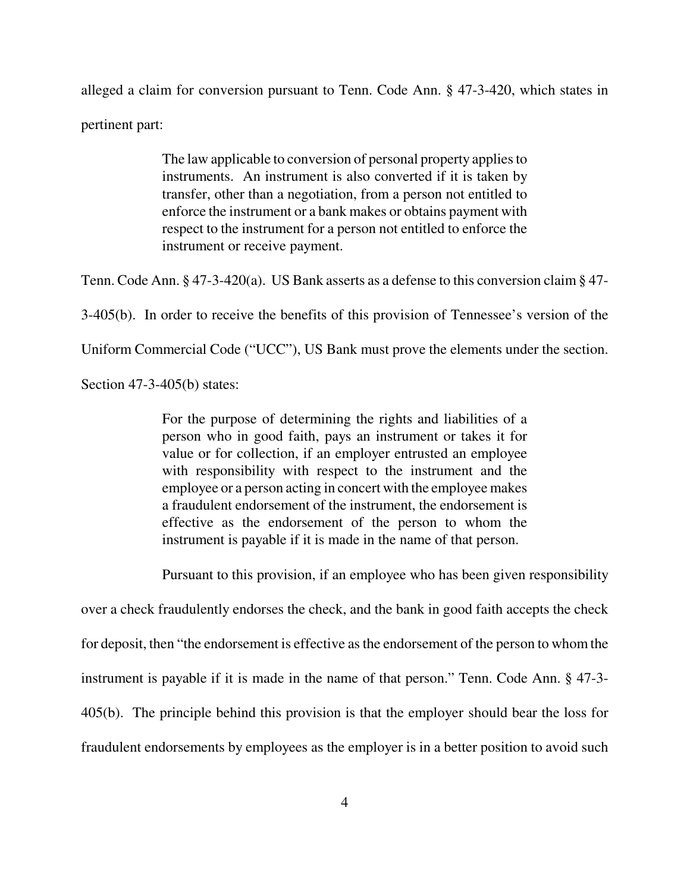alleged a claim for conversion pursuant to Tenn. Code Ann. § 47-3-420, which states in pertinent part:

> The law applicable to conversion of personal property applies to instruments. An instrument is also converted if it is taken by transfer, other than a negotiation, from a person not entitled to enforce the instrument or a bank makes or obtains payment with respect to the instrument for a person not entitled to enforce the instrument or receive payment.

Tenn. Code Ann. § 47-3-420(a). US Bank asserts as a defense to this conversion claim § 47-

3-405(b). In order to receive the benefits of this provision of Tennessee's version of the

Uniform Commercial Code ("UCC"), US Bank must prove the elements under the section.

Section 47-3-405(b) states:

For the purpose of determining the rights and liabilities of a person who in good faith, pays an instrument or takes it for value or for collection, if an employer entrusted an employee with responsibility with respect to the instrument and the employee or a person acting in concert with the employee makes a fraudulent endorsement of the instrument, the endorsement is effective as the endorsement of the person to whom the instrument is payable if it is made in the name of that person.

Pursuant to this provision, if an employee who has been given responsibility

over a check fraudulently endorses the check, and the bank in good faith accepts the check for deposit, then "the endorsement is effective as the endorsement of the person to whom the instrument is payable if it is made in the name of that person." Tenn. Code Ann. § 47-3- 405(b). The principle behind this provision is that the employer should bear the loss for fraudulent endorsements by employees as the employer is in a better position to avoid such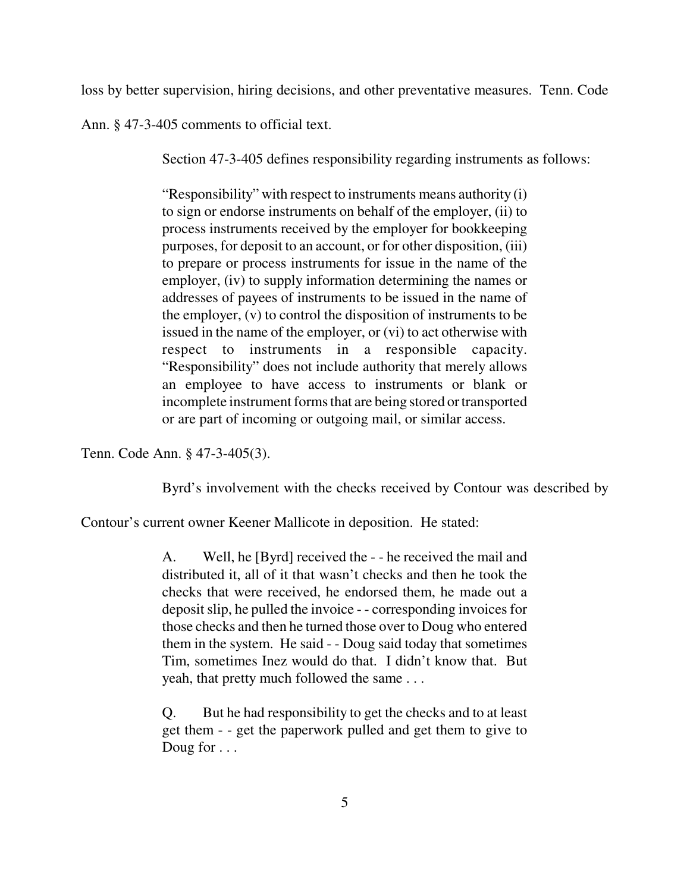loss by better supervision, hiring decisions, and other preventative measures. Tenn. Code

Ann. § 47-3-405 comments to official text.

Section 47-3-405 defines responsibility regarding instruments as follows:

"Responsibility" with respect to instruments means authority (i) to sign or endorse instruments on behalf of the employer, (ii) to process instruments received by the employer for bookkeeping purposes, for deposit to an account, or for other disposition, (iii) to prepare or process instruments for issue in the name of the employer, (iv) to supply information determining the names or addresses of payees of instruments to be issued in the name of the employer, (v) to control the disposition of instruments to be issued in the name of the employer, or (vi) to act otherwise with respect to instruments in a responsible capacity. "Responsibility" does not include authority that merely allows an employee to have access to instruments or blank or incomplete instrument forms that are being stored or transported or are part of incoming or outgoing mail, or similar access.

Tenn. Code Ann. § 47-3-405(3).

Byrd's involvement with the checks received by Contour was described by

Contour's current owner Keener Mallicote in deposition. He stated:

A. Well, he [Byrd] received the - - he received the mail and distributed it, all of it that wasn't checks and then he took the checks that were received, he endorsed them, he made out a deposit slip, he pulled the invoice - - corresponding invoices for those checks and then he turned those over to Doug who entered them in the system. He said - - Doug said today that sometimes Tim, sometimes Inez would do that. I didn't know that. But yeah, that pretty much followed the same . . .

Q. But he had responsibility to get the checks and to at least get them - - get the paperwork pulled and get them to give to Doug for . . .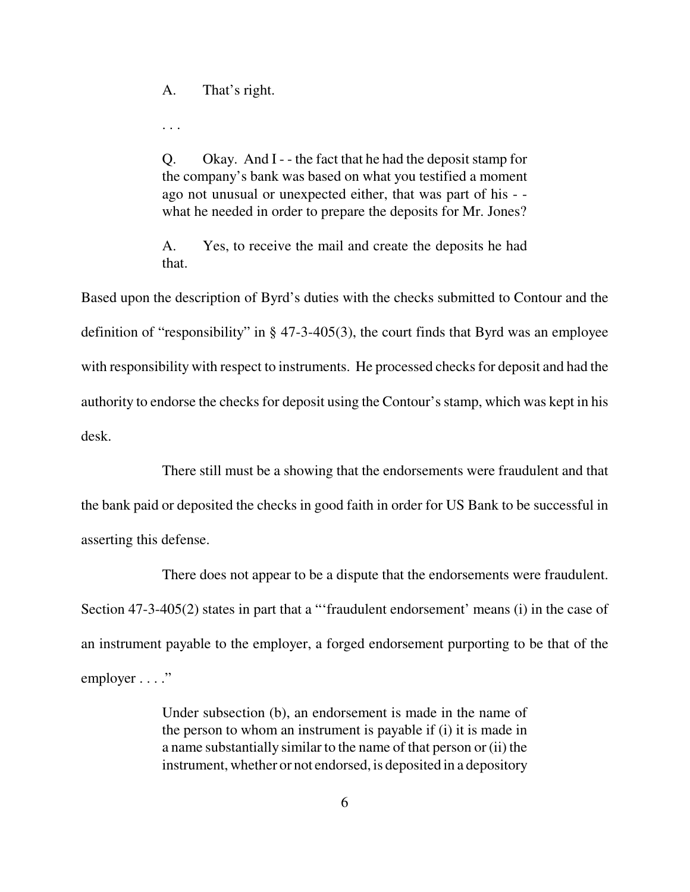A. That's right.

. . .

Q. Okay. And I - - the fact that he had the deposit stamp for the company's bank was based on what you testified a moment ago not unusual or unexpected either, that was part of his - what he needed in order to prepare the deposits for Mr. Jones?

A. Yes, to receive the mail and create the deposits he had that.

Based upon the description of Byrd's duties with the checks submitted to Contour and the definition of "responsibility" in § 47-3-405(3), the court finds that Byrd was an employee with responsibility with respect to instruments. He processed checks for deposit and had the authority to endorse the checks for deposit using the Contour's stamp, which was kept in his desk.

There still must be a showing that the endorsements were fraudulent and that the bank paid or deposited the checks in good faith in order for US Bank to be successful in asserting this defense.

There does not appear to be a dispute that the endorsements were fraudulent. Section 47-3-405(2) states in part that a "'fraudulent endorsement' means (i) in the case of an instrument payable to the employer, a forged endorsement purporting to be that of the employer . . . ."

> Under subsection (b), an endorsement is made in the name of the person to whom an instrument is payable if (i) it is made in a name substantially similar to the name of that person or (ii) the instrument, whether or not endorsed, is deposited in a depository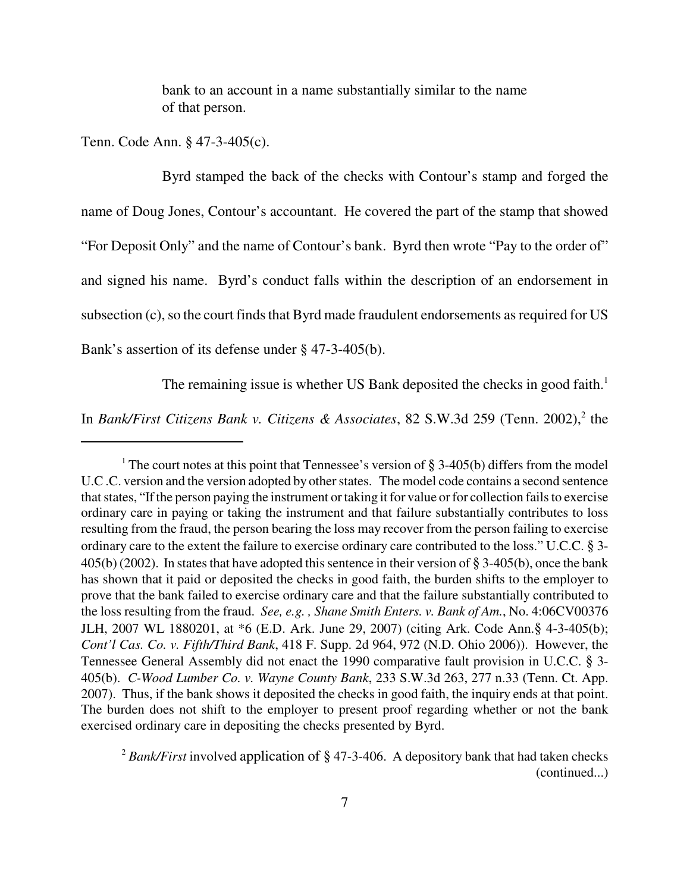bank to an account in a name substantially similar to the name of that person.

Tenn. Code Ann. § 47-3-405(c).

Byrd stamped the back of the checks with Contour's stamp and forged the name of Doug Jones, Contour's accountant. He covered the part of the stamp that showed "For Deposit Only" and the name of Contour's bank. Byrd then wrote "Pay to the order of" and signed his name. Byrd's conduct falls within the description of an endorsement in subsection (c), so the court finds that Byrd made fraudulent endorsements as required for US Bank's assertion of its defense under § 47-3-405(b).

The remaining issue is whether US Bank deposited the checks in good faith.<sup>1</sup>

In *Bank/First Citizens Bank v. Citizens & Associates*, 82 S.W.3d 259 (Tenn. 2002),<sup>2</sup> the

<sup>&</sup>lt;sup>1</sup> The court notes at this point that Tennessee's version of  $\S 3-405(b)$  differs from the model U.C .C. version and the version adopted by other states. The model code contains a second sentence that states, "If the person paying the instrument or taking it for value or for collection fails to exercise ordinary care in paying or taking the instrument and that failure substantially contributes to loss resulting from the fraud, the person bearing the loss may recover from the person failing to exercise ordinary care to the extent the failure to exercise ordinary care contributed to the loss." U.C.C. § 3- 405(b) (2002). In states that have adopted this sentence in their version of § 3-405(b), once the bank has shown that it paid or deposited the checks in good faith, the burden shifts to the employer to prove that the bank failed to exercise ordinary care and that the failure substantially contributed to the loss resulting from the fraud. *See, e.g. , Shane Smith Enters. v. Bank of Am.*, No. 4:06CV00376 JLH, 2007 WL 1880201, at \*6 (E.D. Ark. June 29, 2007) (citing Ark. Code Ann.§ 4-3-405(b); *Cont'l Cas. Co. v. Fifth/Third Bank*, 418 F. Supp. 2d 964, 972 (N.D. Ohio 2006)). However, the Tennessee General Assembly did not enact the 1990 comparative fault provision in U.C.C. § 3- 405(b). *C-Wood Lumber Co. v. Wayne County Bank*, 233 S.W.3d 263, 277 n.33 (Tenn. Ct. App. 2007). Thus, if the bank shows it deposited the checks in good faith, the inquiry ends at that point. The burden does not shift to the employer to present proof regarding whether or not the bank exercised ordinary care in depositing the checks presented by Byrd.

<sup>&</sup>lt;sup>2</sup> Bank/First involved application of § 47-3-406. A depository bank that had taken checks (continued...)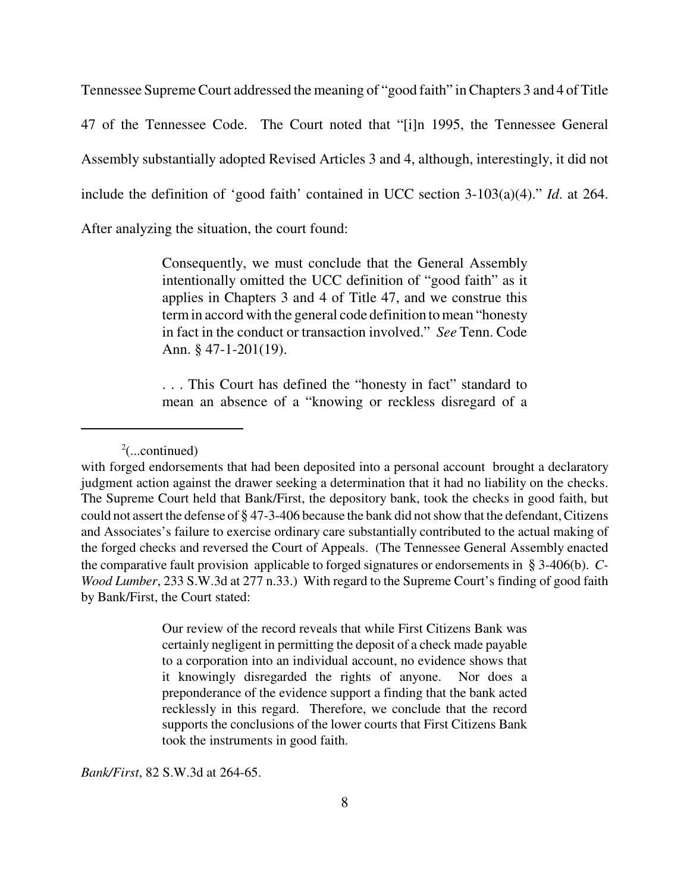Tennessee Supreme Court addressed the meaning of "good faith" in Chapters 3 and 4 of Title

47 of the Tennessee Code. The Court noted that "[i]n 1995, the Tennessee General

Assembly substantially adopted Revised Articles 3 and 4, although, interestingly, it did not

include the definition of 'good faith' contained in UCC section 3-103(a)(4)." *Id*. at 264.

After analyzing the situation, the court found:

Consequently, we must conclude that the General Assembly intentionally omitted the UCC definition of "good faith" as it applies in Chapters 3 and 4 of Title 47, and we construe this term in accord with the general code definition to mean "honesty in fact in the conduct or transaction involved." *See* Tenn. Code Ann. § 47-1-201(19).

. . . This Court has defined the "honesty in fact" standard to mean an absence of a "knowing or reckless disregard of a

Our review of the record reveals that while First Citizens Bank was certainly negligent in permitting the deposit of a check made payable to a corporation into an individual account, no evidence shows that it knowingly disregarded the rights of anyone. Nor does a preponderance of the evidence support a finding that the bank acted recklessly in this regard. Therefore, we conclude that the record supports the conclusions of the lower courts that First Citizens Bank took the instruments in good faith.

*Bank/First*, 82 S.W.3d at 264-65.

 $2$ (...continued)

with forged endorsements that had been deposited into a personal account brought a declaratory judgment action against the drawer seeking a determination that it had no liability on the checks. The Supreme Court held that Bank/First, the depository bank, took the checks in good faith, but could not assert the defense of § 47-3-406 because the bank did not show that the defendant, Citizens and Associates's failure to exercise ordinary care substantially contributed to the actual making of the forged checks and reversed the Court of Appeals. (The Tennessee General Assembly enacted the comparative fault provision applicable to forged signatures or endorsements in § 3-406(b). *C-Wood Lumber*, 233 S.W.3d at 277 n.33.) With regard to the Supreme Court's finding of good faith by Bank/First, the Court stated: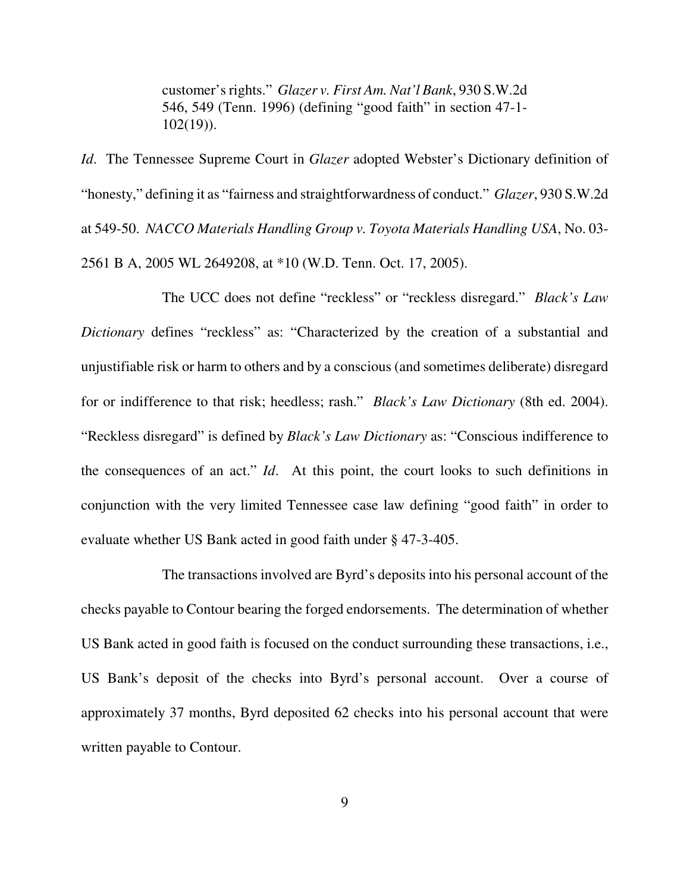customer's rights." *Glazer v. First Am. Nat'l Bank*, 930 S.W.2d 546, 549 (Tenn. 1996) (defining "good faith" in section 47-1-  $102(19)$ ).

*Id*. The Tennessee Supreme Court in *Glazer* adopted Webster's Dictionary definition of "honesty," defining it as "fairness and straightforwardness of conduct." *Glazer*, 930 S.W.2d at 549-50. *NACCO Materials Handling Group v. Toyota Materials Handling USA*, No. 03- 2561 B A, 2005 WL 2649208, at \*10 (W.D. Tenn. Oct. 17, 2005).

The UCC does not define "reckless" or "reckless disregard." *Black's Law Dictionary* defines "reckless" as: "Characterized by the creation of a substantial and unjustifiable risk or harm to others and by a conscious (and sometimes deliberate) disregard for or indifference to that risk; heedless; rash." *Black's Law Dictionary* (8th ed. 2004). "Reckless disregard" is defined by *Black's Law Dictionary* as: "Conscious indifference to the consequences of an act." *Id*. At this point, the court looks to such definitions in conjunction with the very limited Tennessee case law defining "good faith" in order to evaluate whether US Bank acted in good faith under § 47-3-405.

The transactions involved are Byrd's deposits into his personal account of the checks payable to Contour bearing the forged endorsements. The determination of whether US Bank acted in good faith is focused on the conduct surrounding these transactions, i.e., US Bank's deposit of the checks into Byrd's personal account. Over a course of approximately 37 months, Byrd deposited 62 checks into his personal account that were written payable to Contour.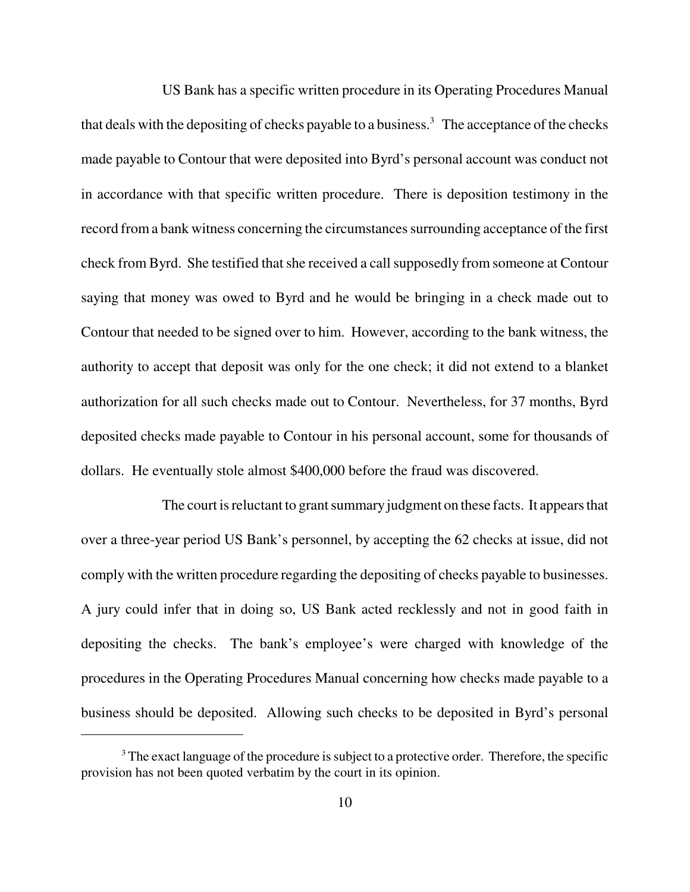US Bank has a specific written procedure in its Operating Procedures Manual that deals with the depositing of checks payable to a business.<sup>3</sup> The acceptance of the checks made payable to Contour that were deposited into Byrd's personal account was conduct not in accordance with that specific written procedure. There is deposition testimony in the record from a bank witness concerning the circumstances surrounding acceptance of the first check from Byrd. She testified that she received a call supposedly from someone at Contour saying that money was owed to Byrd and he would be bringing in a check made out to Contour that needed to be signed over to him. However, according to the bank witness, the authority to accept that deposit was only for the one check; it did not extend to a blanket authorization for all such checks made out to Contour. Nevertheless, for 37 months, Byrd deposited checks made payable to Contour in his personal account, some for thousands of dollars. He eventually stole almost \$400,000 before the fraud was discovered.

The court is reluctant to grant summary judgment on these facts. It appears that over a three-year period US Bank's personnel, by accepting the 62 checks at issue, did not comply with the written procedure regarding the depositing of checks payable to businesses. A jury could infer that in doing so, US Bank acted recklessly and not in good faith in depositing the checks. The bank's employee's were charged with knowledge of the procedures in the Operating Procedures Manual concerning how checks made payable to a business should be deposited. Allowing such checks to be deposited in Byrd's personal

<sup>&</sup>lt;sup>3</sup> The exact language of the procedure is subject to a protective order. Therefore, the specific provision has not been quoted verbatim by the court in its opinion.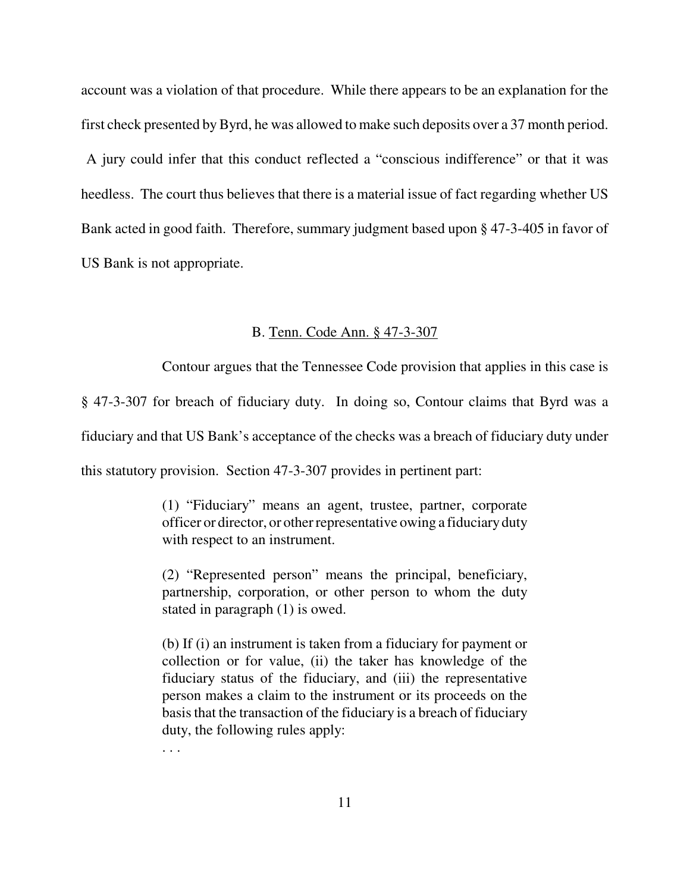account was a violation of that procedure. While there appears to be an explanation for the first check presented by Byrd, he was allowed to make such deposits over a 37 month period.

 A jury could infer that this conduct reflected a "conscious indifference" or that it was heedless. The court thus believes that there is a material issue of fact regarding whether US Bank acted in good faith. Therefore, summary judgment based upon § 47-3-405 in favor of US Bank is not appropriate.

#### B. Tenn. Code Ann. § 47-3-307

Contour argues that the Tennessee Code provision that applies in this case is

§ 47-3-307 for breach of fiduciary duty. In doing so, Contour claims that Byrd was a

fiduciary and that US Bank's acceptance of the checks was a breach of fiduciary duty under

this statutory provision. Section 47-3-307 provides in pertinent part:

. . .

(1) "Fiduciary" means an agent, trustee, partner, corporate officer or director, or other representative owing a fiduciary duty with respect to an instrument.

(2) "Represented person" means the principal, beneficiary, partnership, corporation, or other person to whom the duty stated in paragraph (1) is owed.

(b) If (i) an instrument is taken from a fiduciary for payment or collection or for value, (ii) the taker has knowledge of the fiduciary status of the fiduciary, and (iii) the representative person makes a claim to the instrument or its proceeds on the basis that the transaction of the fiduciary is a breach of fiduciary duty, the following rules apply:

11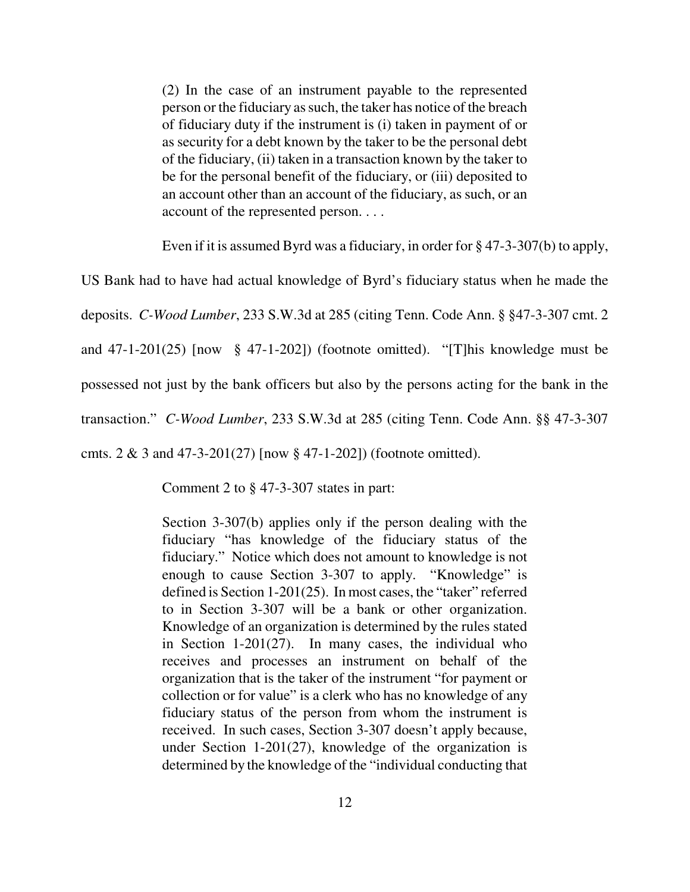(2) In the case of an instrument payable to the represented person or the fiduciary as such, the taker has notice of the breach of fiduciary duty if the instrument is (i) taken in payment of or as security for a debt known by the taker to be the personal debt of the fiduciary, (ii) taken in a transaction known by the taker to be for the personal benefit of the fiduciary, or (iii) deposited to an account other than an account of the fiduciary, as such, or an account of the represented person. . . .

Even if it is assumed Byrd was a fiduciary, in order for § 47-3-307(b) to apply,

US Bank had to have had actual knowledge of Byrd's fiduciary status when he made the

deposits. *C-Wood Lumber*, 233 S.W.3d at 285 (citing Tenn. Code Ann. § §47-3-307 cmt. 2

and  $47-1-201(25)$  [now §  $47-1-202$ ]) (footnote omitted). "[T]his knowledge must be

possessed not just by the bank officers but also by the persons acting for the bank in the

transaction." *C-Wood Lumber*, 233 S.W.3d at 285 (citing Tenn. Code Ann. §§ 47-3-307

cmts. 2 & 3 and 47-3-201(27) [now § 47-1-202]) (footnote omitted).

Comment 2 to § 47-3-307 states in part:

Section 3-307(b) applies only if the person dealing with the fiduciary "has knowledge of the fiduciary status of the fiduciary." Notice which does not amount to knowledge is not enough to cause Section 3-307 to apply. "Knowledge" is defined is Section 1-201(25). In most cases, the "taker" referred to in Section 3-307 will be a bank or other organization. Knowledge of an organization is determined by the rules stated in Section 1-201(27). In many cases, the individual who receives and processes an instrument on behalf of the organization that is the taker of the instrument "for payment or collection or for value" is a clerk who has no knowledge of any fiduciary status of the person from whom the instrument is received. In such cases, Section 3-307 doesn't apply because, under Section 1-201(27), knowledge of the organization is determined by the knowledge of the "individual conducting that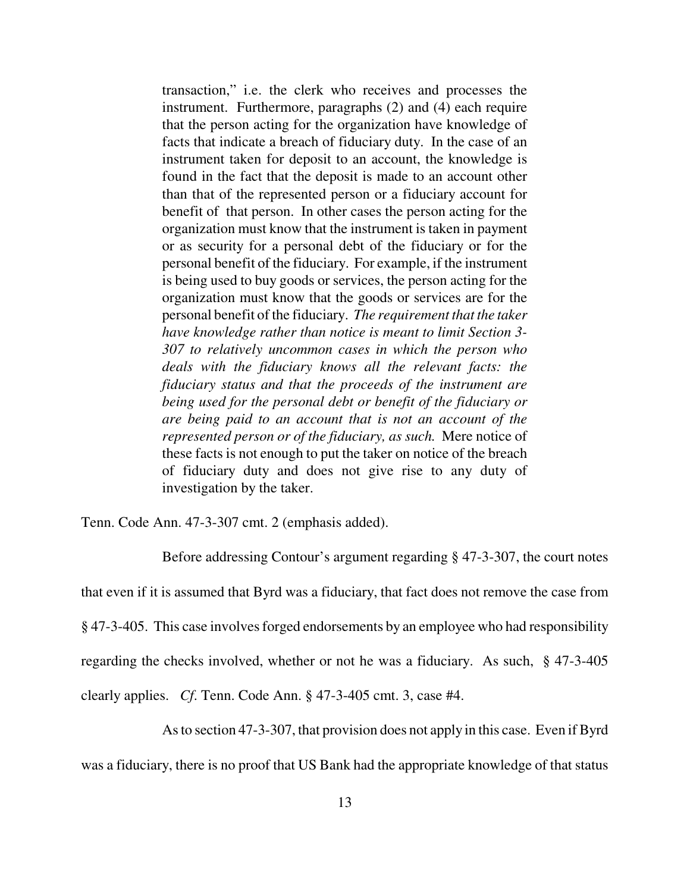transaction," i.e. the clerk who receives and processes the instrument. Furthermore, paragraphs (2) and (4) each require that the person acting for the organization have knowledge of facts that indicate a breach of fiduciary duty. In the case of an instrument taken for deposit to an account, the knowledge is found in the fact that the deposit is made to an account other than that of the represented person or a fiduciary account for benefit of that person. In other cases the person acting for the organization must know that the instrument is taken in payment or as security for a personal debt of the fiduciary or for the personal benefit of the fiduciary. For example, if the instrument is being used to buy goods or services, the person acting for the organization must know that the goods or services are for the personal benefit of the fiduciary. *The requirement that the taker have knowledge rather than notice is meant to limit Section 3- 307 to relatively uncommon cases in which the person who deals with the fiduciary knows all the relevant facts: the fiduciary status and that the proceeds of the instrument are being used for the personal debt or benefit of the fiduciary or are being paid to an account that is not an account of the represented person or of the fiduciary, as such.* Mere notice of these facts is not enough to put the taker on notice of the breach of fiduciary duty and does not give rise to any duty of investigation by the taker.

Tenn. Code Ann. 47-3-307 cmt. 2 (emphasis added).

Before addressing Contour's argument regarding § 47-3-307, the court notes that even if it is assumed that Byrd was a fiduciary, that fact does not remove the case from § 47-3-405. This case involves forged endorsements by an employee who had responsibility regarding the checks involved, whether or not he was a fiduciary. As such, § 47-3-405 clearly applies. *Cf*. Tenn. Code Ann. § 47-3-405 cmt. 3, case #4.

As to section 47-3-307, that provision does not apply in this case. Even if Byrd

was a fiduciary, there is no proof that US Bank had the appropriate knowledge of that status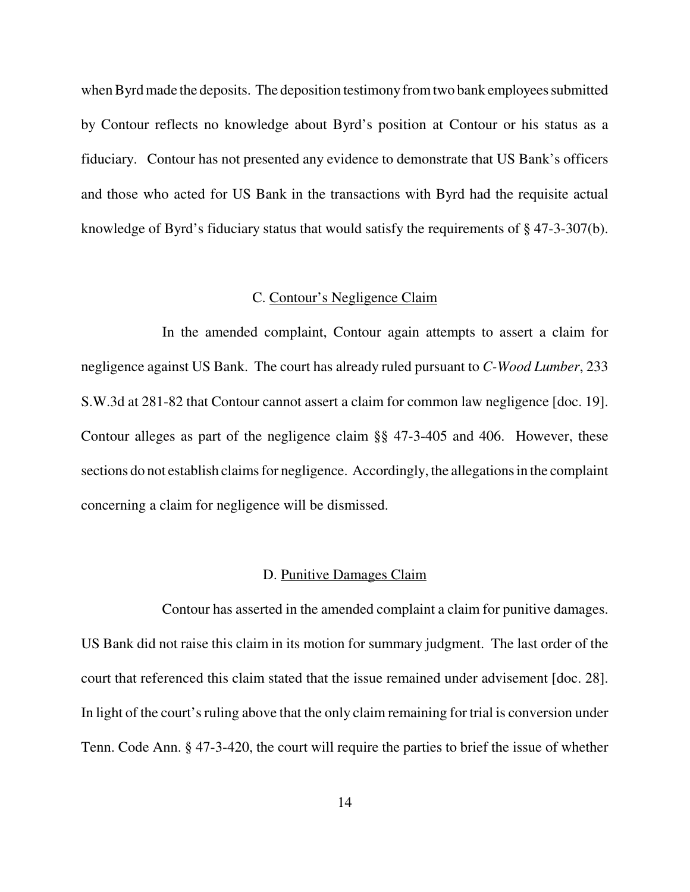when Byrd made the deposits. The deposition testimony from two bank employees submitted by Contour reflects no knowledge about Byrd's position at Contour or his status as a fiduciary. Contour has not presented any evidence to demonstrate that US Bank's officers and those who acted for US Bank in the transactions with Byrd had the requisite actual knowledge of Byrd's fiduciary status that would satisfy the requirements of § 47-3-307(b).

#### C. Contour's Negligence Claim

In the amended complaint, Contour again attempts to assert a claim for negligence against US Bank. The court has already ruled pursuant to *C-Wood Lumber*, 233 S.W.3d at 281-82 that Contour cannot assert a claim for common law negligence [doc. 19]. Contour alleges as part of the negligence claim §§ 47-3-405 and 406. However, these sections do not establish claims for negligence. Accordingly, the allegations in the complaint concerning a claim for negligence will be dismissed.

#### D. Punitive Damages Claim

Contour has asserted in the amended complaint a claim for punitive damages. US Bank did not raise this claim in its motion for summary judgment. The last order of the court that referenced this claim stated that the issue remained under advisement [doc. 28]. In light of the court's ruling above that the only claim remaining for trial is conversion under Tenn. Code Ann. § 47-3-420, the court will require the parties to brief the issue of whether